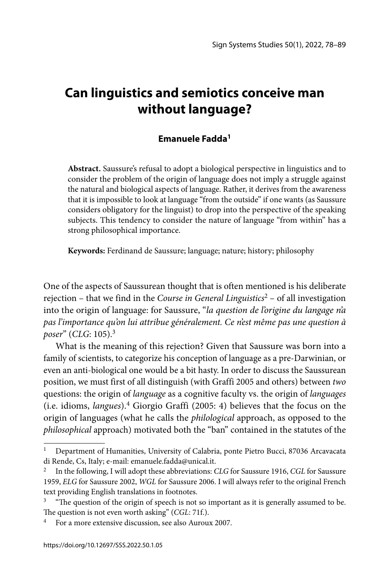# **Can linguistics and semiotics conceive man without language?**

## **Emanuele Fadda1**

**Abstract.** Saussure's refusal to adopt a biological perspective in linguistics and to consider the problem of the origin of language does not imply a struggle against the natural and biological aspects of language. Rather, it derives from the awareness that it is impossible to look at language "from the outside" if one wants (as Saussure considers obligatory for the linguist) to drop into the perspective of the speaking subjects. This tendency to consider the nature of language "from within" has a strong philosophical importance.

**Keywords:** Ferdinand de Saussure; language; nature; history; philosophy

One of the aspects of Saussurean thought that is often mentioned is his deliberate rejection – that we find in the *Course in General Linguistics*2 – of all investigation into the origin of language: for Saussure, "*la question de l'origine du langage n'a pas l'importance qu'on lui attribue généralement. Ce n'est même pas une question à poser*" (*CLG*: 105).3

What is the meaning of this rejection? Given that Saussure was born into a family of scientists, to categorize his conception of language as a pre-Darwinian, or even an anti-biological one would be a bit hasty. In order to discuss the Saussurean position, we must first of all distinguish (with Graffi 2005 and others) between *two* questions: the origin of *language* as a cognitive faculty vs. the origin of *languages* (i.e. idioms, *langues*).4 Giorgio Graffi (2005: 4) believes that the focus on the origin of languages (what he calls the *philological* approach, as opposed to the *philosophical* approach) motivated both the "ban" contained in the statutes of the

<sup>1</sup> Department of Humanities, University of Calabria, ponte Pietro Bucci, 87036 Arcavacata di Rende, Cs, Italy; e-mail: emanuele.fadda@unical.it.

<sup>2</sup> In the following, I will adopt these abbreviations: *CLG* for Saussure 1916, *CGL* for Saussure 1959, *ELG* for Saussure 2002, *WGL* for Saussure 2006. I will always refer to the original French text providing English translations in footnotes.

 $3$  "The question of the origin of speech is not so important as it is generally assumed to be. The question is not even worth asking" (*CGL*: 71f.).

<sup>&</sup>lt;sup>4</sup> For a more extensive discussion, see also Auroux 2007.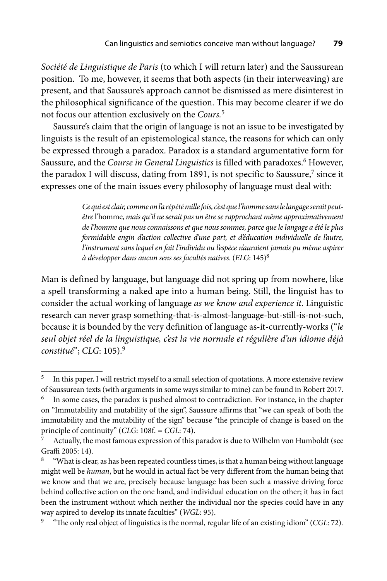*Société de Linguistique de Paris* (to which I will return later) and the Saussurean position. To me, however, it seems that both aspects (in their interweaving) are present, and that Saussure's approach cannot be dismissed as mere disinterest in the philosophical significance of the question. This may become clearer if we do not focus our attention exclusively on the *Cours.*<sup>5</sup>

Saussure's claim that the origin of language is not an issue to be investigated by linguists is the result of an epistemological stance, the reasons for which can only be expressed through a paradox. Paradox is a standard argumentative form for Saussure, and the *Course in General Linguistics* is filled with paradoxes.<sup>6</sup> However, the paradox I will discuss, dating from 1891, is not specific to Saussure,<sup>7</sup> since it expresses one of the main issues every philosophy of language must deal with:

> *Ce qui est clair, comme on l'a répété mille fois, c'est que l'homme sans le langage serait peutêtre* l'homme, *mais qu'il ne serait pas un être se rapprochant même approximativement de l'homme que nous connaissons et que nous sommes, parce que le langage a été le plus formidable engin d'action collective d'une part, et d'éducation individuelle de l'autre, l'instrument sans lequel en fait l'individu ou l'espèce n'auraient jamais pu même aspirer à développer dans aucun sens ses facultés natives*. (*ELG*: 145)8

Man is defined by language, but language did not spring up from nowhere, like a spell transforming a naked ape into a human being. Still, the linguist has to consider the actual working of language *as we know and experience it*. Linguistic research can never grasp something-that-is-almost-language-but-still-is-not-such, because it is bounded by the very definition of language as-it-currently-works ("*le seul objet réel de la linguistique, c'est la vie normale et régulière d'un idiome déjà constitué*"; *CLG*: 105).9

<sup>5</sup> In this paper, I will restrict myself to a small selection of quotations. A more extensive review of Saussurean texts (with arguments in some ways similar to mine) can be found in Robert 2017.

In some cases, the paradox is pushed almost to contradiction. For instance, in the chapter on "Immutability and mutability of the sign", Saussure affirms that "we can speak of both the immutability and the mutability of the sign" because "the principle of change is based on the principle of continuity" (*CLG*: 108f. = *CGL*: 74).

Actually, the most famous expression of this paradox is due to Wilhelm von Humboldt (see Graffi 2005: 14).

<sup>&</sup>quot;What is clear, as has been repeated countless times, is that a human being without language might well be *human*, but he would in actual fact be very different from the human being that we know and that we are, precisely because language has been such a massive driving force behind collective action on the one hand, and individual education on the other; it has in fact been the instrument without which neither the individual nor the species could have in any

way aspired to develop its innate faculties" (*WGL*: 95).<br><sup>9</sup> "The only real object of linguistics is the normal, regular life of an existing idiom" (*CGL*: 72).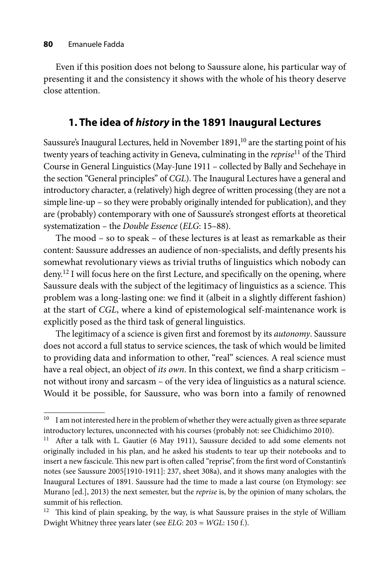Even if this position does not belong to Saussure alone, his particular way of presenting it and the consistency it shows with the whole of his theory deserve close attention.

## **1. The idea of** *history* **in the 1891 Inaugural Lectures**

Saussure's Inaugural Lectures, held in November 1891,<sup>10</sup> are the starting point of his twenty years of teaching activity in Geneva, culminating in the *reprise*11 of the Third Course in General Linguistics (May-June 1911 – collected by Bally and Sechehaye in the section "General principles" of *CGL*). The Inaugural Lectures have a general and introductory character, a (relatively) high degree of written processing (they are not a simple line-up – so they were probably originally intended for publication), and they are (probably) contemporary with one of Saussure's strongest efforts at theoretical systematization – the *Double Essence* (*ELG*: 15–88).

The mood – so to speak – of these lectures is at least as remarkable as their content: Saussure addresses an audience of non-specialists, and deftly presents his somewhat revolutionary views as trivial truths of linguistics which nobody can deny.12 I will focus here on the first Lecture, and specifically on the opening, where Saussure deals with the subject of the legitimacy of linguistics as a science. This problem was a long-lasting one: we find it (albeit in a slightly different fashion) at the start of *CGL*, where a kind of epistemological self-maintenance work is explicitly posed as the third task of general linguistics.

The legitimacy of a science is given first and foremost by its *autonomy*. Saussure does not accord a full status to service sciences, the task of which would be limited to providing data and information to other, "real" sciences. A real science must have a real object, an object of *its own*. In this context, we find a sharp criticism – not without irony and sarcasm – of the very idea of linguistics as a natural science. Would it be possible, for Saussure, who was born into a family of renowned

<sup>&</sup>lt;sup>10</sup> I am not interested here in the problem of whether they were actually given as three separate introductory lectures, unconnected with his courses (probably not: see Chidichimo 2010).

<sup>&</sup>lt;sup>11</sup> After a talk with L. Gautier (6 May 1911), Saussure decided to add some elements not originally included in his plan, and he asked his students to tear up their notebooks and to insert a new fascicule. This new part is often called "reprise", from the first word of Constantin's notes (see Saussure 2005[1910-1911]: 237, sheet 308a), and it shows many analogies with the Inaugural Lectures of 1891. Saussure had the time to made a last course (on Etymology: see Murano [ed.], 2013) the next semester, but the *reprise* is, by the opinion of many scholars, the summit of his reflection.

 $12$  This kind of plain speaking, by the way, is what Saussure praises in the style of William Dwight Whitney three years later (see *ELG*: 203 = *WGL*: 150 f.).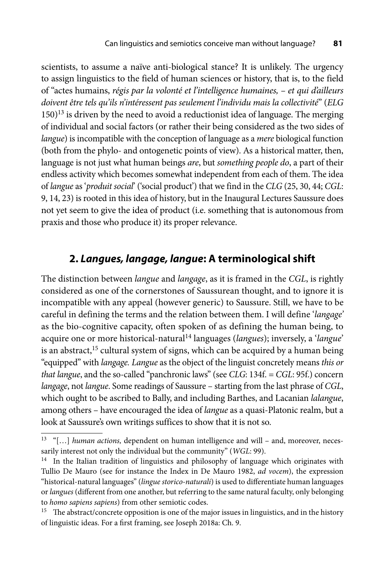scientists, to assume a naïve anti-biological stance? It is unlikely. The urgency to assign linguistics to the field of human sciences or history, that is, to the field of "actes humains, *régis par la volonté et l'intelligence humaines, – et qui d'ailleurs doivent être tels qu'ils n'intéressent pas seulement l'individu mais la collectivité*" (*ELG*  $150)$ <sup>13</sup> is driven by the need to avoid a reductionist idea of language. The merging of individual and social factors (or rather their being considered as the two sides of *langue*) is incompatible with the conception of language as a *mere* biological function (both from the phylo- and ontogenetic points of view). As a historical matter, then, language is not just what human beings *are*, but *something people do*, a part of their endless activity which becomes somewhat independent from each of them. The idea of *langue* as '*produit social*' ('social product') that we find in the *CLG* (25, 30, 44; *CGL*: 9, 14, 23) is rooted in this idea of history, but in the Inaugural Lectures Saussure does not yet seem to give the idea of product (i.e. something that is autonomous from praxis and those who produce it) its proper relevance.

## **2.** *Langues, langage, langue***: A terminological shift**

The distinction between *langue* and *langage*, as it is framed in the *CGL*, is rightly considered as one of the cornerstones of Saussurean thought, and to ignore it is incompatible with any appeal (however generic) to Saussure. Still, we have to be careful in defining the terms and the relation between them. I will define '*langage'* as the bio-cognitive capacity, often spoken of as defining the human being, to acquire one or more historical-natural14 languages (*langues*); inversely, a '*langue*' is an abstract,<sup>15</sup> cultural system of signs, which can be acquired by a human being "equipped" with *langage. Langue* as the object of the linguist concretely means *this or that langue*, and the so-called "panchronic laws" (see *CLG*: 134f. = *CGL*: 95f.) concern *langage*, not *langue*. Some readings of Saussure – starting from the last phrase of *CGL*, which ought to be ascribed to Bally, and including Barthes, and Lacanian *lalangue*, among others – have encouraged the idea of *langue* as a quasi-Platonic realm, but a look at Saussure's own writings suffices to show that it is not so.

<sup>&</sup>lt;sup>13</sup> "[...] *human actions*, dependent on human intelligence and will – and, moreover, necessarily interest not only the individual but the community" (*WGL*: 99).

<sup>&</sup>lt;sup>14</sup> In the Italian tradition of linguistics and philosophy of language which originates with Tullio De Mauro (see for instance the Index in De Mauro 1982, *ad vocem*), the expression "historical-natural languages" (*lingue storico-naturali*) is used to differentiate human languages or *langues* (different from one another, but referring to the same natural faculty, only belonging to *homo sapiens sapiens*) from other semiotic codes.

<sup>&</sup>lt;sup>15</sup> The abstract/concrete opposition is one of the major issues in linguistics, and in the history of linguistic ideas. For a first framing, see Joseph 2018a: Ch. 9.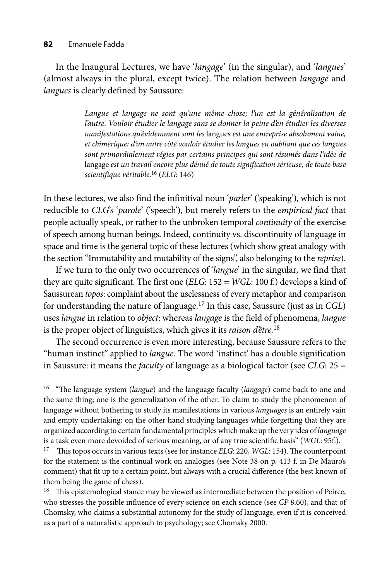#### **82** Emanuele Fadda

In the Inaugural Lectures, we have '*langage*' (in the singular), and '*langues*' (almost always in the plural, except twice). The relation between *langage* and *langues* is clearly defined by Saussure:

> Langue et langage ne sont qu'une même chose; l'un est la généralisation de *l'autre. Vouloir é tudier le langage sans se donner la peine d'en é tudier les diverses manifestations qu'é videmment sont les* langues *est une entreprise absolument vaine, et chimé rique; d'un autre cô té vouloir é tudier les langues en oubliant que ces langues sont primordialement ré gies par certains principes qui sont ré sumé s dans l'idé e de* langage *est un travail encore plus dé nué de toute signification sé rieuse, de toute base scientifique vé ritable.*16 (*ELG*: 146)

In these lectures, we also find the infinitival noun '*parler*' ('speaking'), which is not reducible to *CLG*'s '*parole*' ('speech'), but merely refers to the *empirical fact* that people actually speak, or rather to the unbroken temporal *continuity* of the exercise of speech among human beings. Indeed, continuity vs. discontinuity of language in space and time is the general topic of these lectures (which show great analogy with the section "Immutability and mutability of the signs", also belonging to the *reprise*).

If we turn to the only two occurrences of '*langue*' in the singular*,* we find that they are quite significant. The first one (*ELG*: 152 = *WGL*: 100 f.) develops a kind of Saussurean *topos*: complaint about the uselessness of every metaphor and comparison for understanding the nature of language.17 In this case, Saussure (just as in *CGL*) uses *langue* in relation to *object*: whereas *langage* is the field of phenomena, *langue* is the proper object of linguistics, which gives it its *raison d'être.*<sup>18</sup>

The second occurrence is even more interesting, because Saussure refers to the "human instinct" applied to *langue*. The word 'instinct' has a double signification in Saussure: it means the *faculty* of language as a biological factor (see *CLG*: 25 =

<sup>&</sup>lt;sup>16</sup> "The language system (*langue*) and the language faculty (*langage*) come back to one and the same thing; one is the generalization of the other. To claim to study the phenomenon of language without bothering to study its manifestations in various *languages* is an entirely vain and empty undertaking; on the other hand studying languages while forgetting that they are organized according to certain fundamental principles which make up the very idea of *language* is a task even more devoided of serious meaning, or of any true scientific basis" (WGL: 95f.).

<sup>&</sup>lt;sup>17</sup> This topos occurs in various texts (see for instance *ELG*: 220, *WGL*: 154). The counterpoint for the statement is the continual work on analogies (see Note 38 on p. 413 f. in De Mauro's comment) that fit up to a certain point, but always with a crucial difference (the best known of them being the game of chess).

 $18$  This epistemological stance may be viewed as intermediate between the position of Peirce, who stresses the possible influence of every science on each science (see CP 8.60), and that of Chomsky, who claims a substantial autonomy for the study of language, even if it is conceived as a part of a naturalistic approach to psychology; see Chomsky 2000.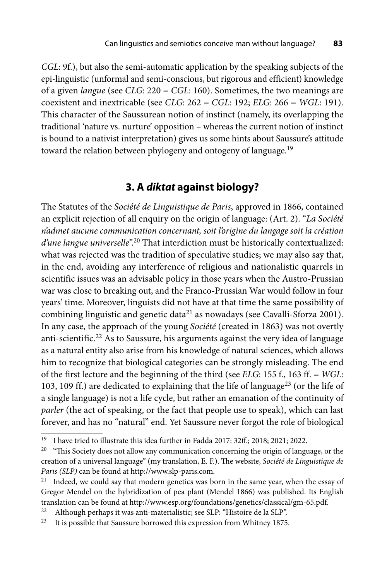*CGL*: 9f.), but also the semi-automatic application by the speaking subjects of the epi-linguistic (unformal and semi-conscious, but rigorous and efficient) knowledge of a given *langue* (see *CLG*: 220 = *CGL*: 160). Sometimes, the two meanings are coexistent and inextricable (see *CLG*: 262 = *CGL*: 192; *ELG*: 266 = *WGL*: 191). This character of the Saussurean notion of instinct (namely, its overlapping the traditional 'nature vs. nurture' opposition – whereas the current notion of instinct is bound to a nativist interpretation) gives us some hints about Saussure's attitude toward the relation between phylogeny and ontogeny of language.<sup>19</sup>

#### **3. A** *diktat* **against biology?**

The Statutes of the *Société de Linguistique de Paris*, approved in 1866, contained an explicit rejection of all enquiry on the origin of language: (Art. 2). "*La Société n'admet aucune communication concernant, soit l'origine du langage soit la création d'une langue universelle*".20 That interdiction must be historically contextualized: what was rejected was the tradition of speculative studies; we may also say that, in the end, avoiding any interference of religious and nationalistic quarrels in scientific issues was an advisable policy in those years when the Austro-Prussian war was close to breaking out, and the Franco-Prussian War would follow in four years' time. Moreover, linguists did not have at that time the same possibility of combining linguistic and genetic data<sup>21</sup> as nowadays (see Cavalli-Sforza 2001). In any case, the approach of the young *Société* (created in 1863) was not overtly anti-scientific.<sup>22</sup> As to Saussure, his arguments against the very idea of language as a natural entity also arise from his knowledge of natural sciences, which allows him to recognize that biological categories can be strongly misleading. The end of the first lecture and the beginning of the third (see *ELG*: 155 f., 163 ff. = *WGL*: 103, 109 ff.) are dedicated to explaining that the life of language<sup>23</sup> (or the life of a single language) is not a life cycle, but rather an emanation of the continuity of *parler* (the act of speaking, or the fact that people use to speak), which can last forever, and has no "natural" end. Yet Saussure never forgot the role of biological

<sup>&</sup>lt;sup>19</sup> I have tried to illustrate this idea further in Fadda 2017: 32ff.; 2018; 2021; 2022.

<sup>&</sup>lt;sup>20</sup> "This Society does not allow any communication concerning the origin of language, or the creation of a universal language" (my translation, E. F.). The website, *Société de Linguistique de Paris (SLP)* can be found at http://www.slp-paris.com.

<sup>&</sup>lt;sup>21</sup> Indeed, we could say that modern genetics was born in the same year, when the essay of Gregor Mendel on the hybridization of pea plant (Mendel 1866) was published. Its English translation can be found at http://www.esp.org/foundations/genetics/classical/gm-65.pdf.

<sup>&</sup>lt;sup>22</sup> Although perhaps it was anti-materialistic; see SLP: "Histoire de la SLP".<br><sup>23</sup> It is possible that Saussure borrowed this expression from Whitney 1875.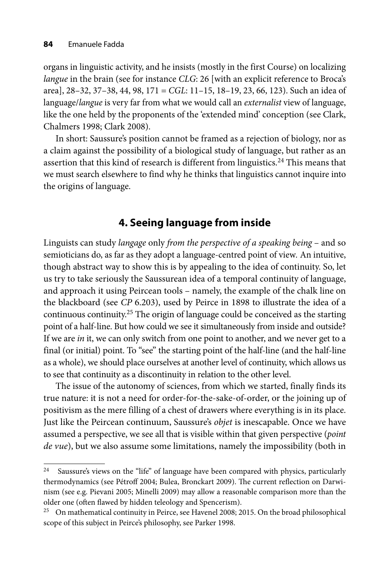organs in linguistic activity, and he insists (mostly in the first Course) on localizing *langue* in the brain (see for instance *CLG*: 26 [with an explicit reference to Broca's area], 28–32, 37–38, 44, 98, 171 = *CGL*: 11–15, 18–19, 23, 66, 123). Such an idea of language/*langue* is very far from what we would call an *externalist* view of language, like the one held by the proponents of the 'extended mind' conception (see Clark, Chalmers 1998; Clark 2008).

In short: Saussure's position cannot be framed as a rejection of biology, nor as a claim against the possibility of a biological study of language, but rather as an assertion that this kind of research is different from linguistics.<sup>24</sup> This means that we must search elsewhere to find why he thinks that linguistics cannot inquire into the origins of language.

# **4. Seeing language from inside**

Linguists can study *langage* only *from the perspective of a speaking being* – and so semioticians do, as far as they adopt a language-centred point of view*.* An intuitive, though abstract way to show this is by appealing to the idea of continuity. So, let us try to take seriously the Saussurean idea of a temporal continuity of language, and approach it using Peircean tools – namely, the example of the chalk line on the blackboard (see *CP* 6.203), used by Peirce in 1898 to illustrate the idea of a continuous continuity.<sup>25</sup> The origin of language could be conceived as the starting point of a half-line. But how could we see it simultaneously from inside and outside? If we are *in* it, we can only switch from one point to another, and we never get to a final (or initial) point. To "see" the starting point of the half-line (and the half-line as a whole), we should place ourselves at another level of continuity, which allows us to see that continuity as a discontinuity in relation to the other level.

The issue of the autonomy of sciences, from which we started, finally finds its true nature: it is not a need for order-for-the-sake-of-order, or the joining up of positivism as the mere filling of a chest of drawers where everything is in its place. Just like the Peircean continuum, Saussure's *objet* is inescapable. Once we have assumed a perspective, we see all that is visible within that given perspective (*point de vue*), but we also assume some limitations, namely the impossibility (both in

 $24$  Saussure's views on the "life" of language have been compared with physics, particularly thermodynamics (see Pétroff 2004; Bulea, Bronckart 2009). The current reflection on Darwinism (see e.g. Pievani 2005; Minelli 2009) may allow a reasonable comparison more than the older one (often flawed by hidden teleology and Spencerism).<br><sup>25</sup> On mathematical continuity in Peirce, see Havenel 2008; 2015. On the broad philosophical

scope of this subject in Peirce's philosophy, see Parker 1998.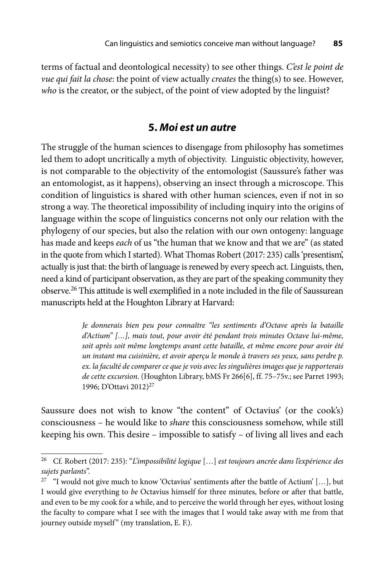terms of factual and deontological necessity) to see other things. *C'est le point de vue qui fait la chose*: the point of view actually *creates* the thing(s) to see. However, *who* is the creator, or the subject, of the point of view adopted by the linguist?

#### **5.** *Moi est un autre*

The struggle of the human sciences to disengage from philosophy has sometimes led them to adopt uncritically a myth of objectivity. Linguistic objectivity, however, is not comparable to the objectivity of the entomologist (Saussure's father was an entomologist, as it happens), observing an insect through a microscope. This condition of linguistics is shared with other human sciences, even if not in so strong a way. The theoretical impossibility of including inquiry into the origins of language within the scope of linguistics concerns not only our relation with the phylogeny of our species, but also the relation with our own ontogeny: language has made and keeps *each* of us "the human that we know and that we are" (as stated in the quote from which I started). What Thomas Robert (2017: 235) calls 'presentism', actually is just that: the birth of language is renewed by every speech act. Linguists, then, need a kind of participant observation, as they are part of the speaking community they observe.26 This attitude is well exemplified in a note included in the file of Saussurean manuscripts held at the Houghton Library at Harvard:

> *Je donnerais bien peu pour connaître "les sentiments d'Octave après la bataille d'Actium" […], mais tout, pour avoir été pendant trois minutes Octave lui-même, soit après soit même longtemps avant cette bataille, et même encore pour avoir été un instant ma cuisinière, et avoir aperçu le monde à travers ses yeux, sans perdre p. ex. la faculté de comparer ce que je vois avec les singulières images que je rapporterais de cette excursion*. (Houghton Library, bMS Fr 266[6], ff. 75–75v.; see Parret 1993; 1996; D'Ottavi 2012)<sup>27</sup>

Saussure does not wish to know "the content" of Octavius' (or the cook's) consciousness – he would like to *share* this consciousness somehow, while still keeping his own. This desire – impossible to satisfy – of living all lives and each

<sup>26</sup> Cf. Robert (2017: 235): "*L'impossibilité logique* […] *est toujours ancrée dans l'expérience des sujets parlants*".

<sup>&</sup>lt;sup>27</sup> "I would not give much to know 'Octavius' sentiments after the battle of Actium' [...], but I would give everything to *be* Octavius himself for three minutes, before or after that battle, and even to be my cook for a while, and to perceive the world through her eyes, without losing the faculty to compare what I see with the images that I would take away with me from that journey outside myself" (my translation, E. F.).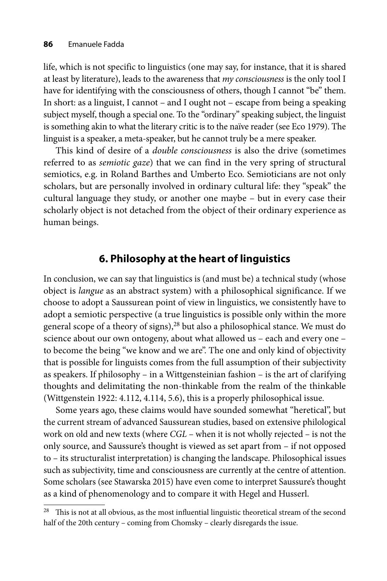life, which is not specific to linguistics (one may say, for instance, that it is shared at least by literature), leads to the awareness that *my consciousness* is the only tool I have for identifying with the consciousness of others, though I cannot "be" them. In short: as a linguist, I cannot – and I ought not – escape from being a speaking subject myself, though a special one. To the "ordinary" speaking subject, the linguist is something akin to what the literary critic is to the naïve reader (see Eco 1979). The linguist is a speaker, a meta-speaker, but he cannot truly be a mere speaker.

This kind of desire of a *double consciousness* is also the drive (sometimes referred to as *semiotic gaze*) that we can find in the very spring of structural semiotics, e.g. in Roland Barthes and Umberto Eco. Semioticians are not only scholars, but are personally involved in ordinary cultural life: they "speak" the cultural language they study, or another one maybe – but in every case their scholarly object is not detached from the object of their ordinary experience as human beings.

# **6. Philosophy at the heart of linguistics**

In conclusion, we can say that linguistics is (and must be) a technical study (whose object is *langue* as an abstract system) with a philosophical significance. If we choose to adopt a Saussurean point of view in linguistics, we consistently have to adopt a semiotic perspective (a true linguistics is possible only within the more general scope of a theory of signs),<sup>28</sup> but also a philosophical stance. We must do science about our own ontogeny, about what allowed us – each and every one – to become the being "we know and we are". The one and only kind of objectivity that is possible for linguists comes from the full assumption of their subjectivity as speakers. If philosophy – in a Wittgensteinian fashion – is the art of clarifying thoughts and delimitating the non-thinkable from the realm of the thinkable (Wittgenstein 1922: 4.112, 4.114, 5.6), this is a properly philosophical issue.

Some years ago, these claims would have sounded somewhat "heretical", but the current stream of advanced Saussurean studies, based on extensive philological work on old and new texts (where *CGL* – when it is not wholly rejected – is not the only source, and Saussure's thought is viewed as set apart from – if not opposed to – its structuralist interpretation) is changing the landscape. Philosophical issues such as subjectivity, time and consciousness are currently at the centre of attention. Some scholars (see Stawarska 2015) have even come to interpret Saussure's thought as a kind of phenomenology and to compare it with Hegel and Husserl.

 $28$  This is not at all obvious, as the most influential linguistic theoretical stream of the second half of the 20th century – coming from Chomsky – clearly disregards the issue.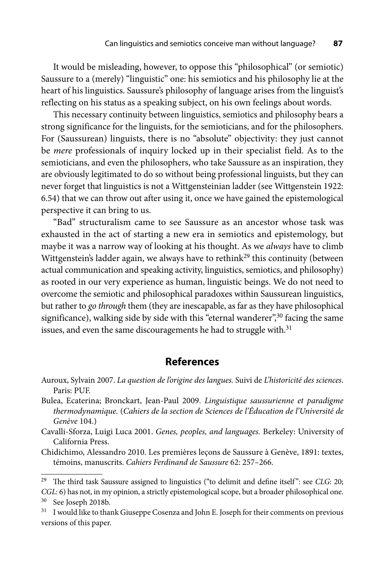It would be misleading, however, to oppose this "philosophical" (or semiotic) Saussure to a (merely) "linguistic" one: his semiotics and his philosophy lie at the heart of his linguistics. Saussure's philosophy of language arises from the linguist's reflecting on his status as a speaking subject, on his own feelings about words.

This necessary continuity between linguistics, semiotics and philosophy bears a strong significance for the linguists, for the semioticians, and for the philosophers. For (Saussurean) linguists, there is no "absolute" objectivity: they just cannot be *mere* professionals of inquiry locked up in their specialist field. As to the semioticians, and even the philosophers, who take Saussure as an inspiration, they are obviously legitimated to do so without being professional linguists, but they can never forget that linguistics is not a Wittgensteinian ladder (see Wittgenstein 1922: 6.54) that we can throw out after using it, once we have gained the epistemological perspective it can bring to us.

"Bad" structuralism came to see Saussure as an ancestor whose task was exhausted in the act of starting a new era in semiotics and epistemology, but maybe it was a narrow way of looking at his thought. As we *always* have to climb Wittgenstein's ladder again, we always have to rethink<sup>29</sup> this continuity (between actual communication and speaking activity, linguistics, semiotics, and philosophy) as rooted in our very experience as human, linguistic beings. We do not need to overcome the semiotic and philosophical paradoxes within Saussurean linguistics, but rather to *go through* them (they are inescapable, as far as they have philosophical significance), walking side by side with this "eternal wanderer",<sup>30</sup> facing the same issues, and even the same discouragements he had to struggle with.<sup>31</sup>

### **References**

- Auroux, Sylvain 2007. *La question de l'origine des langues.* Suivi de *L'historicité des sciences*. Paris: PUF.
- Bulea, Ecaterina; Bronckart, Jean-Paul 2009. *Linguistique saussurienne et paradigme thermodynamique.* (*Cahiers de la section de Sciences de l'Éducation de l'Université de Genève* 104.)
- Cavalli-Sforza, Luigi Luca 2001. *Genes, peoples, and languages.* Berkeley: University of California Press.
- Chidichimo, Alessandro 2010. Les premières leçons de Saussure à Genève, 1891: textes, témoins, manuscrits. *Cahiers Ferdinand de Saussure* 62: 257–266.

<sup>&</sup>lt;sup>29</sup> The third task Saussure assigned to linguistics ("to delimit and define itself": see *CLG*: 20; *CGL*: 6) has not, in my opinion, a strictly epistemological scope, but a broader philosophical one.<br><sup>30</sup> See Joseph 2018b.

<sup>&</sup>lt;sup>31</sup> I would like to thank Giuseppe Cosenza and John E. Joseph for their comments on previous versions of this paper.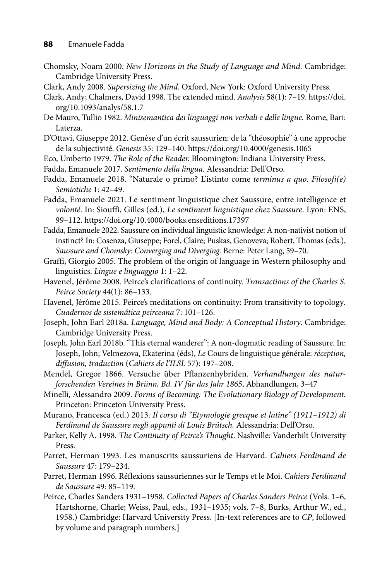- Chomsky, Noam 2000. *New Horizons in the Study of Language and Mind.* Cambridge: Cambridge University Press.
- Clark, Andy 2008. *Supersizing the Mind.* Oxford, New York: Oxford University Press.
- Cla[rk, Andy; Chalmers, David 1998. The extended mind.](https://doi.org/10.1093/analys/58.1.7) *Analysis* 58(1): 7–19. https://doi. org/10.1093/analys/58.1.7
- De Mauro, Tullio 1982. *Minisemantica dei linguaggi non verbali e delle lingue.* Rome, Bari: Laterza.
- D'Ottavi, Giuseppe 2012. Genèse d'un écrit saussurien: de la "théosophie" à une approche de la subjectivité. *Genesis* 35: 129–140. https://doi.org/10.4000/genesis.1065
- Eco, Umberto 1979. *The Role of the Reader.* Bloomington: Indiana University Press.
- Fadda, Emanuele 2017. *Sentimento della lingua.* Alessandria: Dell'Orso.
- Fadda, Emanuele 2018. "Naturale o primo? L'istinto come *terminus a quo*. *Filosofi(e) Semiotiche* 1: 42–49.
- Fadda, Emanuele 2021. Le sentiment linguistique chez Saussure, entre intelligence et *volonté*. In: Siouffi, Gilles (ed.), *Le sentiment linguistique chez Saussure*. Lyon: ENS, 99–112. https://doi.org/10.4000/books.enseditions.17397
- Fadda, Emanuele 2022. Saussure on individual linguistic knowledge: A non-nativist notion of instinct? In: Cosenza, Giuseppe; Forel, Claire; Puskas, Genoveva; Robert, Thomas (eds.), *Saussure and Chomsky: Converging and Diverging*. Berne: Peter Lang, 59–70.
- Graffi, Giorgio 2005. The problem of the origin of language in Western philosophy and linguistics. *Lingue e linguaggio* 1: 1–22.
- Havenel, Jérôme 2008. Peirce's clarifications of continuity. *Transactions of the Charles S. Peirce Society* 44(1): 86–133.
- Havenel, Jérôme 2015. Peirce's meditations on continuity: From transitivity to topology*. Cuadernos de sistemá tica peirceana* 7: 101–126.
- Joseph, John Earl 2018a. *Language, Mind and Body: A Conceptual History*. Cambridge: Cambridge University Press.
- Joseph, John Earl 2018b. "This eternal wanderer": A non-dogmatic reading of Saussure. In: Joseph, John; Velmezova, Ekaterina (éds), *Le* Cours de linguistique générale: *réception, diffusion, traduction* (*Cahiers de l'ILSL* 57): 197–208.
- Mendel, Gregor 1866. Versuche über Pflanzenhybriden. Verhandlungen des natur*forschenden Vereines in Brü nn, Bd. IV fü r das Jahr 1865*, Abhandlungen, 3–47
- Minelli, Alessandro 2009. *Forms of Becoming: The Evolutionary Biology of Development.*  Princeton: Princeton University Press.
- Murano, Francesca (ed.) 2013. *Il corso di "Etymologie grecque et latine" (1911–1912) di Ferdinand de Saussure negli appunti di Louis Brütsch.* Alessandria: Dell'Orso.
- Parker, Kelly A. 1998. *The Continuity of Peirce's Thought*. Nashville: Vanderbilt University Press.
- Parret, Herman 1993. Les manuscrits saussuriens de Harvard. *Cahiers Ferdinand de Saussure* 47: 179–234.
- Parret, Herman 1996. Ré flexions saussuriennes sur le Temps et le Moi. *Cahiers Ferdinand de Saussure* 49: 85–119.
- Peirce, Charles Sanders 1931–1958. *Collected Papers of Charles Sanders Peirce* (Vols. 1–6, Hartshorne, Charle; Weiss, Paul, eds., 1931–1935; vols. 7–8, Burks, Arthur W., ed., 1958.) Cambridge: Harvard University Press. [In-text references are to *CP*, followed by volume and paragraph numbers.]